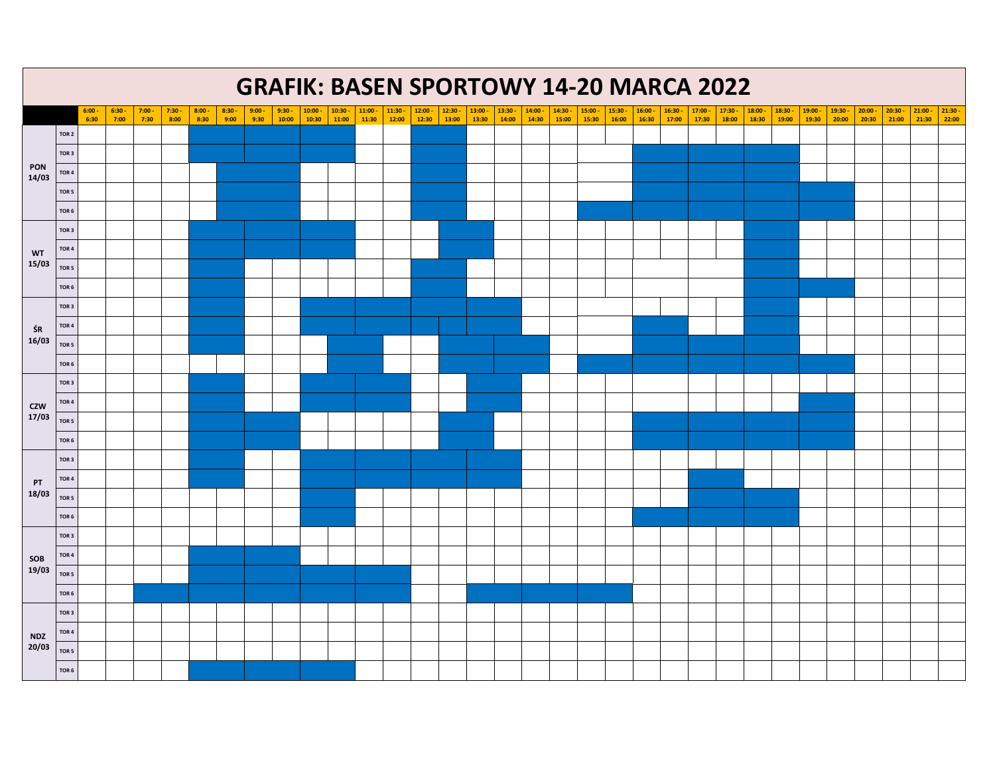